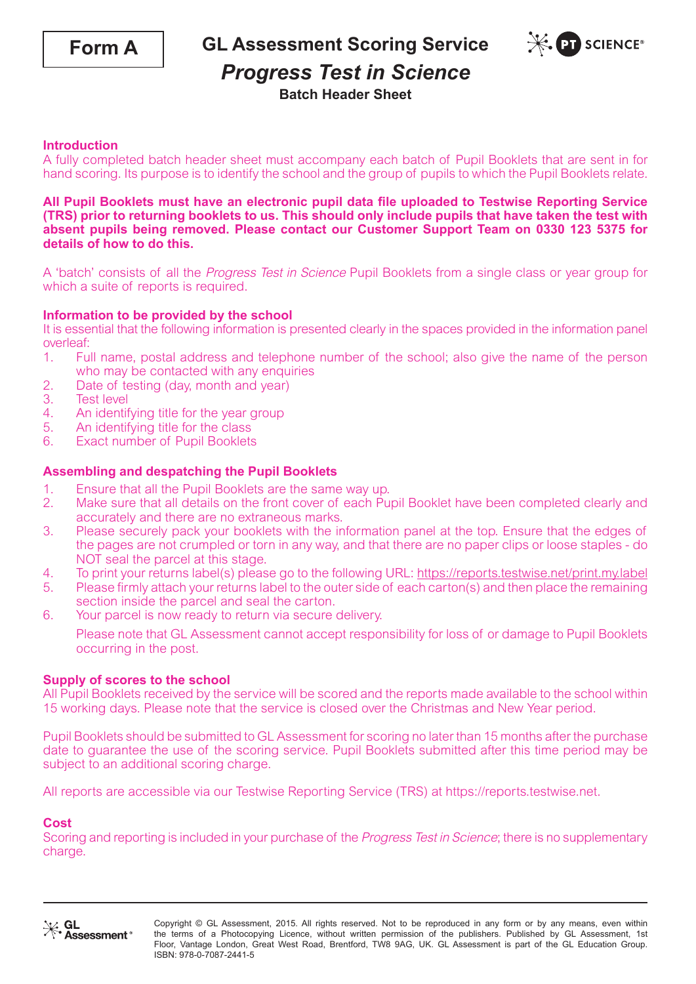

**GL Assessment Scoring Service**



# *Progress Test in Science*

**Batch Header Sheet**

# **Introduction**

A fully completed batch header sheet must accompany each batch of Pupil Booklets that are sent in for hand scoring. Its purpose is to identify the school and the group of pupils to which the Pupil Booklets relate.

## **All Pupil Booklets must have an electronic pupil data file uploaded to Testwise Reporting Service (TRS) prior to returning booklets to us. This should only include pupils that have taken the test with absent pupils being removed. Please contact our Customer Support Team on 0330 123 5375 for details of how to do this.**

A 'batch' consists of all the Progress Test in Science Pupil Booklets from a single class or year group for which a suite of reports is required.

# **Information to be provided by the school**

It is essential that the following information is presented clearly in the spaces provided in the information panel overleaf:

- 1. Full name, postal address and telephone number of the school; also give the name of the person who may be contacted with any enquiries
- 2. Date of testing (day, month and year)<br>3. Test level
- **Test level**
- 4. An identifying title for the year group<br>5. An identifying title for the class
- An identifying title for the class
- 6. Exact number of Pupil Booklets

# **Assembling and despatching the Pupil Booklets**

- 
- 1. Ensure that all the Pupil Booklets are the same way up.<br>2. Make sure that all details on the front cover of each Pu 2. Make sure that all details on the front cover of each Pupil Booklet have been completed clearly and accurately and there are no extraneous marks.
- 3. Please securely pack your booklets with the information panel at the top. Ensure that the edges of the pages are not crumpled or torn in any way, and that there are no paper clips or loose staples - do NOT seal the parcel at this stage.
- 4. To print your returns label(s) please go to the following URL: https://reports.testwise.net/print.my.label<br>5. Please firmly attach your returns label to the outer side of each carton(s) and then place the remaining
- 5. Please firmly attach your returns label to the outer side of each carton(s) and then place the remaining section inside the parcel and seal the carton.
- 6. Your parcel is now ready to return via secure delivery.

Please note that GL Assessment cannot accept responsibility for loss of or damage to Pupil Booklets occurring in the post.

# **Supply of scores to the school**

All Pupil Booklets received by the service will be scored and the reports made available to the school within 15 working days. Please note that the service is closed over the Christmas and New Year period.

Pupil Booklets should be submitted to GL Assessment for scoring no later than 15 months after the purchase date to guarantee the use of the scoring service. Pupil Booklets submitted after this time period may be subject to an additional scoring charge.

All reports are accessible via our Testwise Reporting Service (TRS) at https://reports.testwise.net.

## **Cost**

Scoring and reporting is included in your purchase of the Progress Test in Science; there is no supplementary charge.